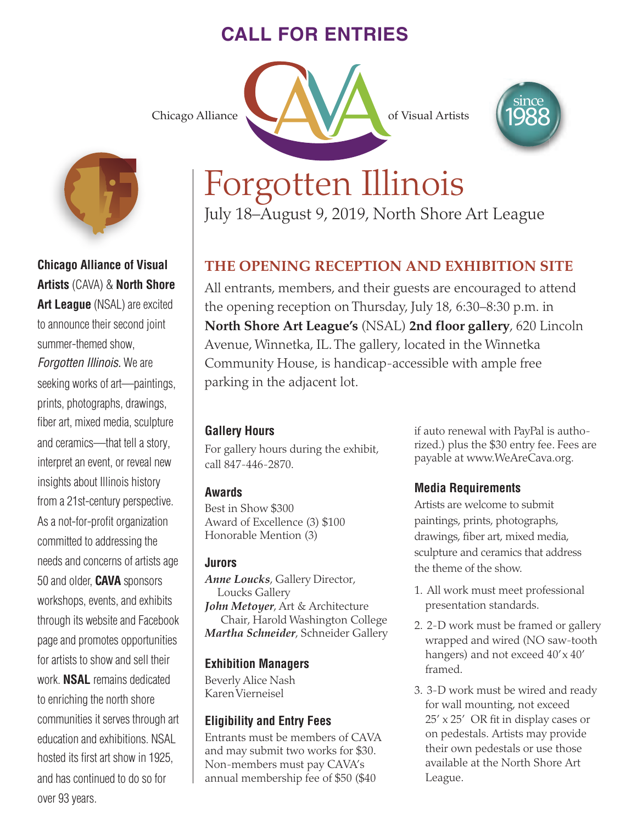# **CALL FOR ENTRIES**



# **Chicago Alliance of Visual Artists** (CAVA) & **North Shore**

**Art League** (NSAL) are excited to announce their second joint summer-themed show,

*Forgotten Illinois.* We are seeking works of art—paintings, prints, photographs, drawings, fiber art, mixed media, sculpture and ceramics—that tell a story, interpret an event, or reveal new insights about Illinois history from a 21st-century perspective. As a not-for-profit organization committed to addressing the needs and concerns of artists age 50 and older, **CAVA** sponsors workshops, events, and exhibits through its website and Facebook page and promotes opportunities for artists to show and sell their work. **NSAL** remains dedicated to enriching the north shore communities it serves through art education and exhibitions. NSAL hosted its first art show in 1925, and has continued to do so for over 93 years.





# *i* Forgotten Illinois

July 18–August 9, 2019, North Shore Art League

# **THE OPENING RECEPTION AND EXHIBITION SITE**

All entrants, members, and their guests are encouraged to attend the opening reception on Thursday, July 18, 6:30–8:30 p.m. in **North Shore Art League's** (NSAL) **2nd floor gallery**, 620 Lincoln Avenue, Winnetka, IL. The gallery, located in the Winnetka Community House, is handicap-accessible with ample free parking in the adjacent lot.

## **Gallery Hours**

For gallery hours during the exhibit, call 847-446-2870.

## **Awards**

Best in Show \$300 Award of Excellence (3) \$100 Honorable Mention (3)

### **Jurors**

*Anne Loucks*, Gallery Director, Loucks Gallery *John Metoyer*, Art & Architecture Chair, Harold Washington College *Martha Schneider*, Schneider Gallery

## **Exhibition Managers**

Beverly Alice Nash Karen Vierneisel

## **Eligibility and Entry Fees**

Entrants must be members of CAVA and may submit two works for \$30. Non-members must pay CAVA's annual membership fee of \$50 (\$40

if auto renewal with PayPal is authorized.) plus the \$30 entry fee. Fees are payable at www.WeAreCava.org.

## **Media Requirements**

Artists are welcome to submit paintings, prints, photographs, drawings, fiber art, mixed media, sculpture and ceramics that address the theme of the show.

- 1. All work must meet professional presentation standards.
- 2. 2-D work must be framed or gallery wrapped and wired (NO saw-tooth hangers) and not exceed  $40' \times 40'$ framed.
- 3. 3-D work must be wired and ready for wall mounting, not exceed 25' x 25' OR fit in display cases or on pedestals. Artists may provide their own pedestals or use those available at the North Shore Art League.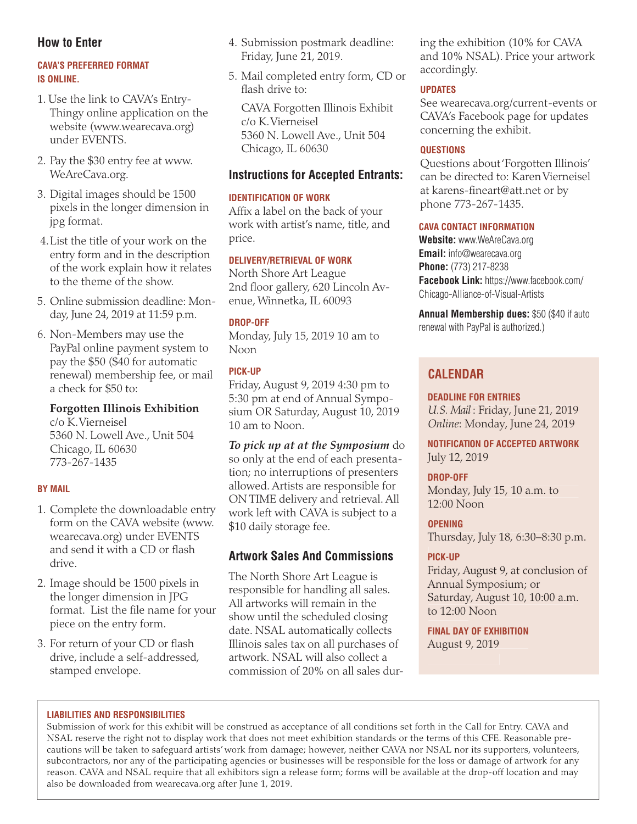#### **How to Enter**

#### **CAVA'S PREFERRED FORMAT IS ONLINE.**

- 1. Use the link to CAVA's Entry-Thingy online application on the website (www.wearecava.org) under EVENTS.
- 2. Pay the \$30 entry fee at www. WeAreCava.org.
- 3. Digital images should be 1500 pixels in the longer dimension in jpg format.
- 4. List the title of your work on the entry form and in the description of the work explain how it relates to the theme of the show.
- 5. Online submission deadline: Monday, June 24, 2019 at 11:59 p.m.
- 6. Non-Members may use the PayPal online payment system to pay the \$50 (\$40 for automatic renewal) membership fee, or mail a check for \$50 to:

#### **Forgotten Illinois Exhibition**

c/o K. Vierneisel 5360 N. Lowell Ave., Unit 504 Chicago, IL 60630 773-267-1435

#### **BY MAIL**

- 1. Complete the downloadable entry form on the CAVA website (www. wearecava.org) under EVENTS and send it with a CD or flash drive.
- 2. Image should be 1500 pixels in the longer dimension in JPG format. List the file name for your piece on the entry form.
- 3. For return of your CD or flash drive, include a self-addressed, stamped envelope.
- 4. Submission postmark deadline: Friday, June 21, 2019.
- 5. Mail completed entry form, CD or flash drive to:

CAVA Forgotten Illinois Exhibit c/o K. Vierneisel 5360 N. Lowell Ave., Unit 504 Chicago, IL 60630

#### **Instructions for Accepted Entrants:**

#### **IDENTIFICATION OF WORK**

Affix a label on the back of your work with artist's name, title, and price.

#### **DELIVERY/RETRIEVAL OF WORK**

North Shore Art League 2nd floor gallery, 620 Lincoln Avenue, Winnetka, IL 60093

#### **DROP-OFF**

Monday, July 15, 2019 10 am to Noon

#### **PICK-UP**

Friday, August 9, 2019 4:30 pm to 5:30 pm at end of Annual Symposium OR Saturday, August 10, 2019 10 am to Noon.

*To pick up at at the Symposium* do so only at the end of each presentation; no interruptions of presenters allowed. Artists are responsible for ON TIME delivery and retrieval. All work left with CAVA is subject to a \$10 daily storage fee.

#### **Artwork Sales And Commissions**

The North Shore Art League is responsible for handling all sales. All artworks will remain in the show until the scheduled closing date. NSAL automatically collects Illinois sales tax on all purchases of artwork. NSAL will also collect a commission of 20% on all sales during the exhibition (10% for CAVA and 10% NSAL). Price your artwork accordingly.

#### **UPDATES**

See wearecava.org/current-events or CAVA's Facebook page for updates concerning the exhibit.

#### **QUESTIONS**

Questions about 'Forgotten Illinois' can be directed to: Karen Vierneisel at karens-fineart@att.net or by phone 773-267-1435.

#### **CAVA CONTACT INFORMATION**

**Website:** www.WeAreCava.org **Email:** info@wearecava.org **Phone:** (773) 217-8238 **Facebook Link:** https://www.facebook.com/ Chicago-Alliance-of-Visual-Artists

**Annual Membership dues:** \$50 (\$40 if auto renewal with PayPal is authorized.)

## **CALENDAR**

**DEADLINE FOR ENTRIES**

*U.S. Mail* : Friday, June 21, 2019 *Online*: Monday, June 24, 2019

**NOTIFICATION OF ACCEPTED ARTWORK** July 12, 2019

# **DROP-OFF**

Monday, July 15, 10 a.m. to 12:00 Noon

**OPENING** Thursday, July 18, 6:30–8:30 p.m.

#### **PICK-UP**

Friday, August 9, at conclusion of Annual Symposium; or Saturday, August 10, 10:00 a.m. to 12:00 Noon

**FINAL DAY OF EXHIBITION** August 9, 2019

#### **LIABILITIES AND RESPONSIBILITIES**

Submission of work for this exhibit will be construed as acceptance of all conditions set forth in the Call for Entry. CAVA and NSAL reserve the right not to display work that does not meet exhibition standards or the terms of this CFE. Reasonable precautions will be taken to safeguard artists' work from damage; however, neither CAVA nor NSAL nor its supporters, volunteers, subcontractors, nor any of the participating agencies or businesses will be responsible for the loss or damage of artwork for any reason. CAVA and NSAL require that all exhibitors sign a release form; forms will be available at the drop-off location and may also be downloaded from wearecava.org after June 1, 2019.